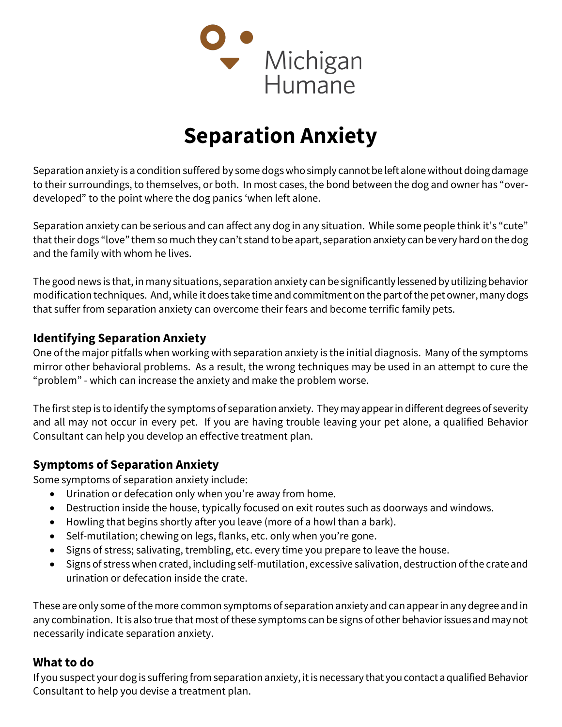

# Separation Anxiety

Separation anxiety is a condition suffered by some dogs who simply cannot be left alone without doing damage to their surroundings, to themselves, or both. In most cases, the bond between the dog and owner has "overdeveloped" to the point where the dog panics 'when left alone.

Separation anxiety can be serious and can affect any dog in any situation. While some people think it's "cute" that their dogs "love" them so much they can't stand to be apart, separation anxiety can be very hard on the dog and the family with whom he lives.

The good news is that, in many situations, separation anxiety can be significantly lessened by utilizing behavior modification techniques. And, while it does take time and commitment on the part of the pet owner, many dogs that suffer from separation anxiety can overcome their fears and become terrific family pets.

## Identifying Separation Anxiety

One of the major pitfalls when working with separation anxiety is the initial diagnosis. Many of the symptoms mirror other behavioral problems. As a result, the wrong techniques may be used in an attempt to cure the "problem" - which can increase the anxiety and make the problem worse.

The first step is to identify the symptoms of separation anxiety. They may appear in different degrees of severity and all may not occur in every pet. If you are having trouble leaving your pet alone, a qualified Behavior Consultant can help you develop an effective treatment plan.

## Symptoms of Separation Anxiety

Some symptoms of separation anxiety include:

- Urination or defecation only when you're away from home.
- Destruction inside the house, typically focused on exit routes such as doorways and windows.
- Howling that begins shortly after you leave (more of a howl than a bark).
- Self-mutilation; chewing on legs, flanks, etc. only when you're gone.
- Signs of stress; salivating, trembling, etc. every time you prepare to leave the house.
- Signs of stress when crated, including self-mutilation, excessive salivation, destruction of the crate and urination or defecation inside the crate.

These are only some of the more common symptoms of separation anxiety and can appear in any degree and in any combination. It is also true that most of these symptoms can be signs of other behavior issues and may not necessarily indicate separation anxiety.

## What to do

If you suspect your dog is suffering from separation anxiety, it is necessary that you contact a qualified Behavior Consultant to help you devise a treatment plan.